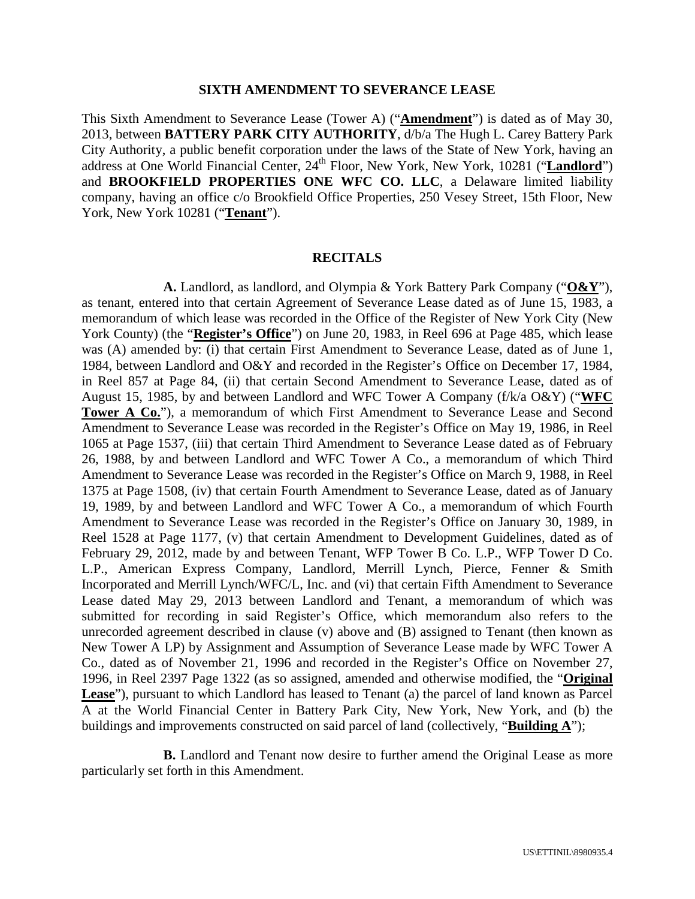#### **SIXTH AMENDMENT TO SEVERANCE LEASE**

This Sixth Amendment to Severance Lease (Tower A) ("**Amendment**") is dated as of May 30, 2013, between **BATTERY PARK CITY AUTHORITY**, d/b/a The Hugh L. Carey Battery Park City Authority, a public benefit corporation under the laws of the State of New York, having an address at One World Financial Center, 24<sup>th</sup> Floor, New York, New York, 10281 ("Landlord") and **BROOKFIELD PROPERTIES ONE WFC CO. LLC**, a Delaware limited liability company, having an office c/o Brookfield Office Properties, 250 Vesey Street, 15th Floor, New York, New York 10281 ("**Tenant**").

#### **RECITALS**

**A.** Landlord, as landlord, and Olympia & York Battery Park Company ("**O&Y**"), as tenant, entered into that certain Agreement of Severance Lease dated as of June 15, 1983, a memorandum of which lease was recorded in the Office of the Register of New York City (New York County) (the "**Register's Office**") on June 20, 1983, in Reel 696 at Page 485, which lease was (A) amended by: (i) that certain First Amendment to Severance Lease, dated as of June 1, 1984, between Landlord and O&Y and recorded in the Register's Office on December 17, 1984, in Reel 857 at Page 84, (ii) that certain Second Amendment to Severance Lease, dated as of August 15, 1985, by and between Landlord and WFC Tower A Company (f/k/a O&Y) ("**WFC Tower A Co.**"), a memorandum of which First Amendment to Severance Lease and Second Amendment to Severance Lease was recorded in the Register's Office on May 19, 1986, in Reel 1065 at Page 1537, (iii) that certain Third Amendment to Severance Lease dated as of February 26, 1988, by and between Landlord and WFC Tower A Co., a memorandum of which Third Amendment to Severance Lease was recorded in the Register's Office on March 9, 1988, in Reel 1375 at Page 1508, (iv) that certain Fourth Amendment to Severance Lease, dated as of January 19, 1989, by and between Landlord and WFC Tower A Co., a memorandum of which Fourth Amendment to Severance Lease was recorded in the Register's Office on January 30, 1989, in Reel 1528 at Page 1177, (v) that certain Amendment to Development Guidelines, dated as of February 29, 2012, made by and between Tenant, WFP Tower B Co. L.P., WFP Tower D Co. L.P., American Express Company, Landlord, Merrill Lynch, Pierce, Fenner & Smith Incorporated and Merrill Lynch/WFC/L, Inc. and (vi) that certain Fifth Amendment to Severance Lease dated May 29, 2013 between Landlord and Tenant, a memorandum of which was submitted for recording in said Register's Office, which memorandum also refers to the unrecorded agreement described in clause (v) above and (B) assigned to Tenant (then known as New Tower A LP) by Assignment and Assumption of Severance Lease made by WFC Tower A Co., dated as of November 21, 1996 and recorded in the Register's Office on November 27, 1996, in Reel 2397 Page 1322 (as so assigned, amended and otherwise modified, the "**Original Lease**"), pursuant to which Landlord has leased to Tenant (a) the parcel of land known as Parcel A at the World Financial Center in Battery Park City, New York, New York, and (b) the buildings and improvements constructed on said parcel of land (collectively, "**Building A**");

**B.** Landlord and Tenant now desire to further amend the Original Lease as more particularly set forth in this Amendment.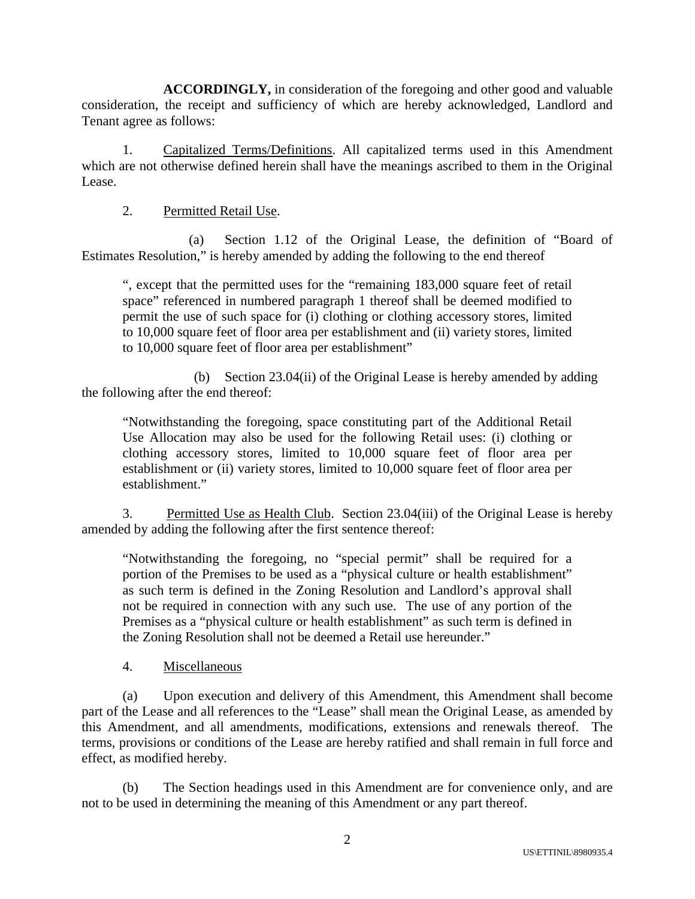**ACCORDINGLY,** in consideration of the foregoing and other good and valuable consideration, the receipt and sufficiency of which are hereby acknowledged, Landlord and Tenant agree as follows:

1. Capitalized Terms/Definitions. All capitalized terms used in this Amendment which are not otherwise defined herein shall have the meanings ascribed to them in the Original Lease.

# 2. Permitted Retail Use.

(a) Section 1.12 of the Original Lease, the definition of "Board of Estimates Resolution," is hereby amended by adding the following to the end thereof

", except that the permitted uses for the "remaining 183,000 square feet of retail space" referenced in numbered paragraph 1 thereof shall be deemed modified to permit the use of such space for (i) clothing or clothing accessory stores, limited to 10,000 square feet of floor area per establishment and (ii) variety stores, limited to 10,000 square feet of floor area per establishment"

(b) Section 23.04(ii) of the Original Lease is hereby amended by adding the following after the end thereof:

"Notwithstanding the foregoing, space constituting part of the Additional Retail Use Allocation may also be used for the following Retail uses: (i) clothing or clothing accessory stores, limited to 10,000 square feet of floor area per establishment or (ii) variety stores, limited to 10,000 square feet of floor area per establishment."

3. Permitted Use as Health Club. Section 23.04(iii) of the Original Lease is hereby amended by adding the following after the first sentence thereof:

"Notwithstanding the foregoing, no "special permit" shall be required for a portion of the Premises to be used as a "physical culture or health establishment" as such term is defined in the Zoning Resolution and Landlord's approval shall not be required in connection with any such use. The use of any portion of the Premises as a "physical culture or health establishment" as such term is defined in the Zoning Resolution shall not be deemed a Retail use hereunder."

4. Miscellaneous

(a) Upon execution and delivery of this Amendment, this Amendment shall become part of the Lease and all references to the "Lease" shall mean the Original Lease, as amended by this Amendment, and all amendments, modifications, extensions and renewals thereof. The terms, provisions or conditions of the Lease are hereby ratified and shall remain in full force and effect, as modified hereby.

(b) The Section headings used in this Amendment are for convenience only, and are not to be used in determining the meaning of this Amendment or any part thereof.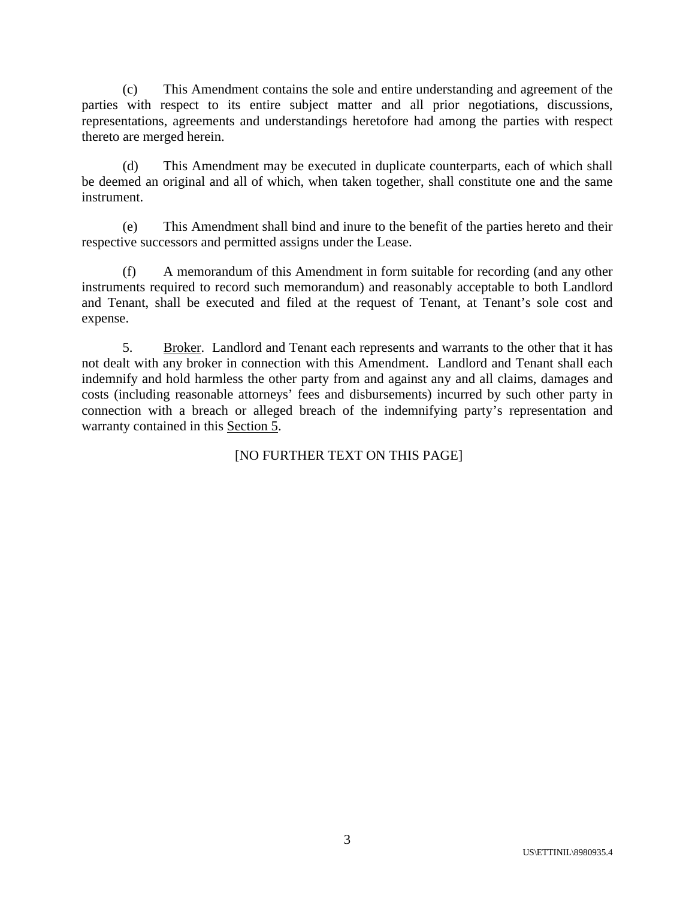(c) This Amendment contains the sole and entire understanding and agreement of the parties with respect to its entire subject matter and all prior negotiations, discussions, representations, agreements and understandings heretofore had among the parties with respect thereto are merged herein.

(d) This Amendment may be executed in duplicate counterparts, each of which shall be deemed an original and all of which, when taken together, shall constitute one and the same instrument.

(e) This Amendment shall bind and inure to the benefit of the parties hereto and their respective successors and permitted assigns under the Lease.

(f) A memorandum of this Amendment in form suitable for recording (and any other instruments required to record such memorandum) and reasonably acceptable to both Landlord and Tenant, shall be executed and filed at the request of Tenant, at Tenant's sole cost and expense.

5. Broker. Landlord and Tenant each represents and warrants to the other that it has not dealt with any broker in connection with this Amendment. Landlord and Tenant shall each indemnify and hold harmless the other party from and against any and all claims, damages and costs (including reasonable attorneys' fees and disbursements) incurred by such other party in connection with a breach or alleged breach of the indemnifying party's representation and warranty contained in this Section 5.

# [NO FURTHER TEXT ON THIS PAGE]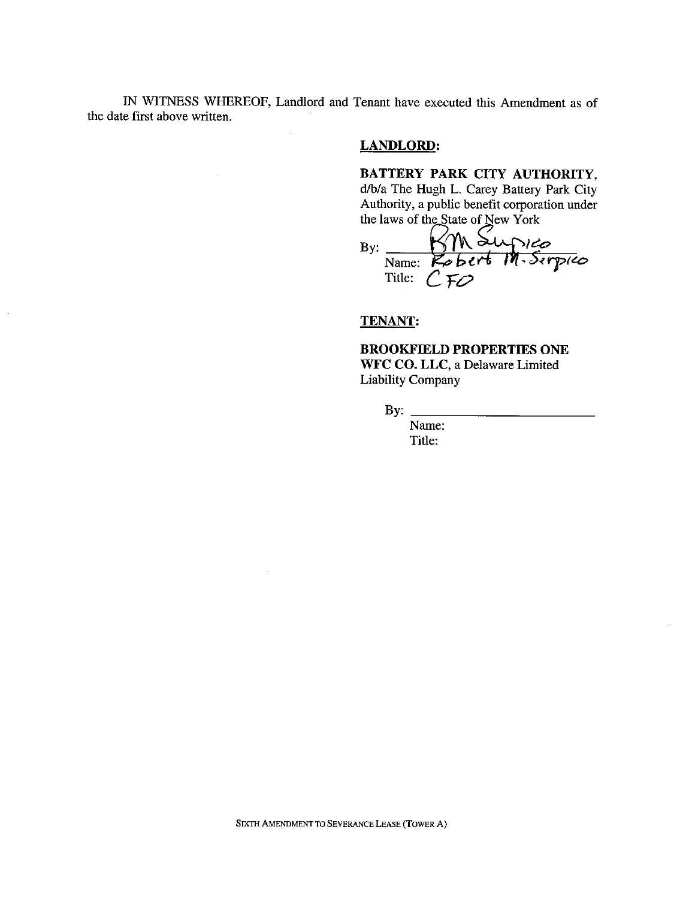IN WITNESS WHEREOF, Landlord and Tenant have executed this Amendment as of the date first above written.

 $\mathcal{A}$ 

## **LANDLORD:**

BATTERY PARK CITY AUTHORITY, d/b/a The Hugh L. Carey Battery Park City Authority, a public benefit corporation under

By: Manuscript Manuscript Manuscript Manuscript Manuscript Manuscript Manuscript Manuscript Manuscript Manuscript Manuscript Manuscript Manuscript Manuscript Manuscript Manuscript Manuscript Manuscript Manuscript Manuscrip Title:  $C$ FO

## **TENANT:**

## **BROOKFIELD PROPERTIES ONE** WFC CO. LLC, a Delaware Limited **Liability Company**

 $By:$ 

Name: Title: